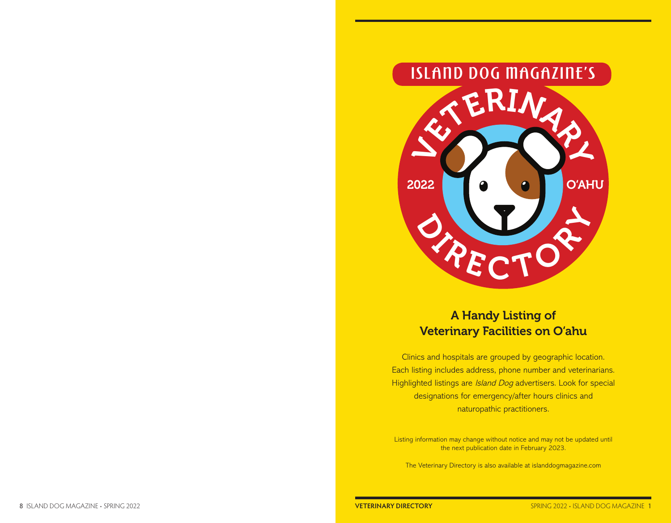

# A Handy Listing of Veterinary Facilities on O'ahu

Clinics and hospitals are grouped by geographic location. Each listing includes address, phone number and veterinarians. Highlighted listings are *Island Dog* advertisers. Look for special designations for emergency/after hours clinics and naturopathic practitioners.

Listing information may change without notice and may not be updated until the next publication date in February 2023.

The Veterinary Directory is also available at islanddogmagazine.com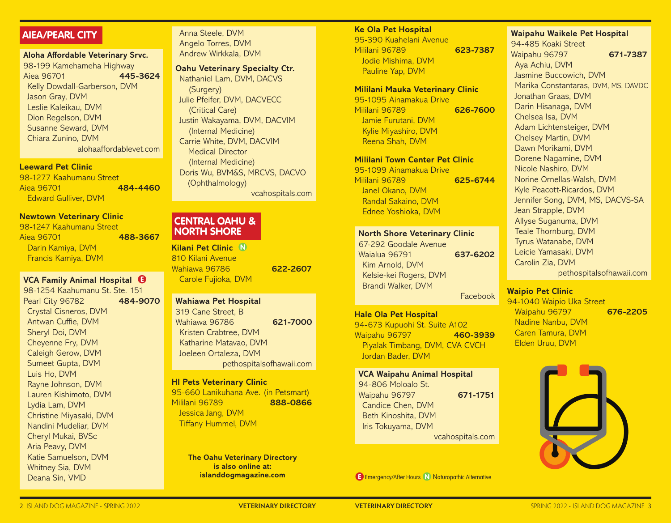# **AIEA/PEARL CITY**

**Aloha Affordable Veterinary Srvc.** 98-199 Kamehameha Highway Aiea 96701 **445-3624** Kelly Dowdall-Garberson, DVM Jason Gray, DVM Leslie Kaleikau, DVM Dion Regelson, DVM Susanne Seward, DVM Chiara Zunino, DVM alohaaffordablevet.com

#### **Leeward Pet Clinic**

98-1277 Kaahumanu Street Aiea 96701 **484-4460** Edward Gulliver, DVM

## **Newtown Veterinary Clinic**

98-1247 Kaahumanu Street Aiea 96701 **488-3667** Darin Kamiya, DVM Francis Kamiya, DVM

# **VCA Family Animal Hospital E**

98-1254 Kaahumanu St. Ste. 151 Pearl City 96782 **484-9070** Crystal Cisneros, DVM Antwan Cuffie, DVM Sheryl Doi, DVM Cheyenne Fry, DVM Caleigh Gerow, DVM Sumeet Gupta, DVM Luis Ho, DVM Rayne Johnson, DVM Lauren Kishimoto, DVM Lydia Lam, DVM Christine Miyasaki, DVM Nandini Mudeliar, DVM Cheryl Mukai, BVSc Aria Peavy, DVM Katie Samuelson, DVM Whitney Sia, DVM Deana Sin, VMD

Anna Steele, DVM Angelo Torres, DVM Andrew Wirkkala, DVM

**Oahu Veterinary Specialty Ctr.**  Nathaniel Lam, DVM, DACVS (Surgery) Julie Pfeifer, DVM, DACVECC (Critical Care) Justin Wakayama, DVM, DACVIM (Internal Medicine) Carrie White, DVM, DACVIM Medical Director (Internal Medicine) Doris Wu, BVM&S, MRCVS, DACVO (Ophthalmology) vcahospitals.com

# **CENTRAL OAHU & NORTH SHORE**

**Kilani Pet Clinic N** 810 Kilani Avenue Wahiawa 96786 **622-2607** Carole Fujioka, DVM

# **Wahiawa Pet Hospital**

319 Cane Street, B Wahiawa 96786 **621-7000** Kristen Crabtree, DVM Katharine Matavao, DVM Joeleen Ortaleza, DVM pethospitalsofhawaii.com

#### **HI Pets Veterinary Clinic**

95-660 Lanikuhana Ave. (in Petsmart) Mililani 96789 **888-0866** Jessica Jang, DVM Tiffany Hummel, DVM

> **The Oahu Veterinary Directory is also online at:**

#### **Ke Ola Pet Hospital**

95-390 Kuahelani Avenue Mililani 96789 **623-7387** Jodie Mishima, DVM Pauline Yap, DVM

## **Mililani Mauka Veterinary Clinic**

95-1095 Ainamakua Drive Mililani 96789 **626-7600** Jamie Furutani, DVM Kylie Miyashiro, DVM Reena Shah, DVM

## **Mililani Town Center Pet Clinic**

95-1099 Ainamakua Drive Mililani 96789 **625-6744** Janel Okano, DVM Randal Sakaino, DVM Ednee Yoshioka, DVM

### **North Shore Veterinary Clinic**

67-292 Goodale Avenue Waialua 96791 **637-6202** Kim Arnold, DVM Kelsie-kei Rogers, DVM Brandi Walker, DVM Facebook

#### **Hale Ola Pet Hospital**

94-673 Kupuohi St. Suite A102 Waipahu 96797 **460-3939** Piyalak Timbang, DVM, CVA CVCH Jordan Bader, DVM

**VCA Waipahu Animal Hospital** 94-806 Moloalo St. Waipahu 96797 **671-1751** Candice Chen, DVM Beth Kinoshita, DVM Iris Tokuyama, DVM vcahospitals.com

**islanddogmagazine.com E E E Energency/After Hours <b>N** Naturopathic Alternative

**Waipahu Waikele Pet Hospital**

94-485 Koaki Street Waipahu 96797 **671-7387** Aya Achiu, DVM Jasmine Buccowich, DVM Marika Constantaras, DVM, MS, DAVDC Jonathan Graas, DVM Darin Hisanaga, DVM Chelsea Isa, DVM Adam Lichtensteiger, DVM Chelsey Martin, DVM Dawn Morikami, DVM Dorene Nagamine, DVM Nicole Nashiro, DVM Norine Ornellas-Walsh, DVM Kyle Peacott-Ricardos, DVM Jennifer Song, DVM, MS, DACVS-SA Jean Strapple, DVM Allyse Suganuma, DVM Teale Thornburg, DVM Tyrus Watanabe, DVM Leicie Yamasaki, DVM Carolin Zia, DVM pethospitalsofhawaii.com

# **Waipio Pet Clinic**

94-1040 Waipio Uka Street Waipahu 96797 **676-2205** Nadine Nanbu, DVM Caren Tamura, DVM Elden Uruu, DVM

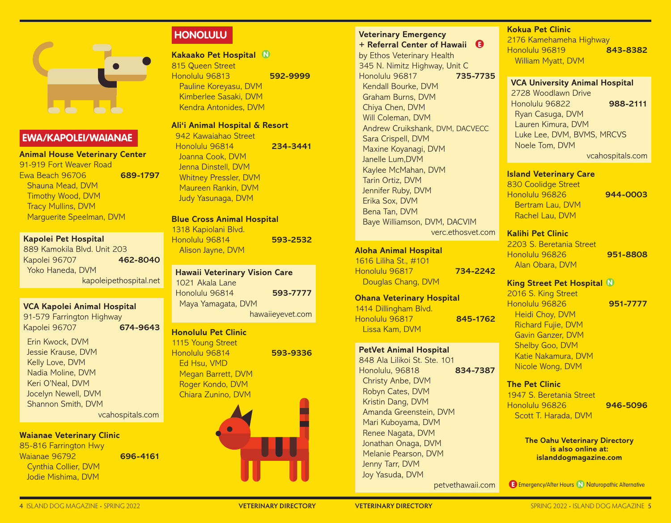

# **EWA/KAPOLEI/WAIANAE**

**Animal House Veterinary Center** 91-919 Fort Weaver Road Ewa Beach 96706 **689-1797** Shauna Mead, DVM Timothy Wood, DVM Tracy Mullins, DVM Marguerite Speelman, DVM

#### **Kapolei Pet Hospital**

889 Kamokila Blvd. Unit 203 Kapolei 96707 **462-8040** Yoko Haneda, DVM kapoleipethospital.net

#### **VCA Kapolei Animal Hospital**

91-579 Farrington Highway Kapolei 96707 **674-9643**

Erin Kwock, DVM Jessie Krause, DVM Kelly Love, DVM Nadia Moline, DVM Keri O'Neal, DVM Jocelyn Newell, DVM Shannon Smith, DVM vcahospitals.com

# **Waianae Veterinary Clinic**

85-816 Farrington Hwy Waianae 96792 **696-4161** Cynthia Collier, DVM

# **HONOLULU**

**Kakaako Pet Hospital N** 815 Queen Street Honolulu 96813 **592-9999** Pauline Koreyasu, DVM Kimberlee Sasaki, DVM Kendra Antonides, DVM

# **Ali'i Animal Hospital & Resort**

942 Kawaiahao Street Honolulu 96814 **234-3441** Joanna Cook, DVM Jenna Dinstell, DVM Whitney Pressler, DVM Maureen Rankin, DVM Judy Yasunaga, DVM

**Blue Cross Animal Hospital** 1318 Kapiolani Blvd. Honolulu 96814 **593-2532** Alison Jayne, DVM

**Hawaii Veterinary Vision Care** 1021 Akala Lane Honolulu 96814 **593-7777** Maya Yamagata, DVM hawaiieyevet.com

# **Honolulu Pet Clinic**

1115 Young Street Honolulu 96814 **593-9336** Ed Hsu, VMD Megan Barrett, DVM Roger Kondo, DVM Chiara Zunino, DVM

# **Veterinary Emergency**

**+ Referral Center of Hawaii E** by Ethos Veterinary Health 345 N. Nimitz Highway, Unit C Honolulu 96817 **735-7735** Kendall Bourke, DVM Graham Burns, DVM Chiya Chen, DVM Will Coleman, DVM Andrew Cruikshank, DVM, DACVECC Sara Crispell, DVM Maxine Koyanagi, DVM Janelle Lum,DVM Kaylee McMahan, DVM Tarin Ortiz, DVM Jennifer Ruby, DVM Erika Sox, DVM Bena Tan, DVM Baye Williamson, DVM, DACVIM verc.ethosvet.com

# **Aloha Animal Hospital**

1616 Liliha St., #101 Honolulu 96817 **734-2242** Douglas Chang, DVM

# **Ohana Veterinary Hospital**

1414 Dillingham Blvd. Honolulu 96817 **845-1762** Lissa Kam, DVM

848 Ala Lilikoi St. Ste. 101 Honolulu, 96818 **834-7387** Christy Anbe, DVM Robyn Cates, DVM Kristin Dang, DVM Amanda Greenstein, DVM Mari Kuboyama, DVM Renee Nagata, DVM Jonathan Onaga, DVM Melanie Pearson, DVM Jenny Tarr, DVM Joy Yasuda, DVM petvethawaii.com

# **Kokua Pet Clinic**

2176 Kamehameha Highway Honolulu 96819 **843-8382** William Myatt, DVM

#### **VCA University Animal Hospital**

2728 Woodlawn Drive Honolulu 96822 **988-2111** Ryan Casuga, DVM Lauren Kimura, DVM Luke Lee, DVM, BVMS, MRCVS Noele Tom, DVM vcahospitals.com

## **Island Veterinary Care**

830 Coolidge Street Honolulu 96826 **944-0003** Bertram Lau, DVM Rachel Lau, DVM

## **Kalihi Pet Clinic**

2203 S. Beretania Street Honolulu 96826 **951-8808** Alan Obara, DVM

#### **King Street Pet Hospital N**

2016 S. King Street Honolulu 96826 **951-7777** Heidi Choy, DVM Richard Fujie, DVM Gavin Ganzer, DVM Shelby Goo, DVM

Katie Nakamura, DVM Nicole Wong, DVM

## **The Pet Clinic**

1947 S. Beretania Street Honolulu 96826 **946-5096** Scott T. Harada, DVM

> **The Oahu Veterinary Directory is also online at: islanddogmagazine.com**

Jodie Mishima, DVM **Exercise Act and Server After Act and Server After After After After After After After Afternative Contract After After After After After After After After After After After After After After After Afte** 

**PetVet Animal Hospital**